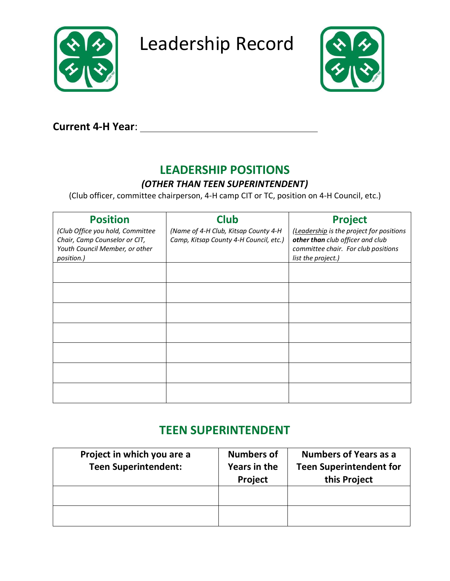

Leadership Record



## **Current 4-H Year**:

# **LEADERSHIP POSITIONS**

### *(OTHER THAN TEEN SUPERINTENDENT)*

(Club officer, committee chairperson, 4-H camp CIT or TC, position on 4-H Council, etc.)

| <b>Position</b>                                                                                                   | <b>Club</b>                                                                    | <b>Project</b>                                                                                                                            |
|-------------------------------------------------------------------------------------------------------------------|--------------------------------------------------------------------------------|-------------------------------------------------------------------------------------------------------------------------------------------|
| (Club Office you hold, Committee<br>Chair, Camp Counselor or CIT,<br>Youth Council Member, or other<br>position.) | (Name of 4-H Club, Kitsap County 4-H<br>Camp, Kitsap County 4-H Council, etc.) | (Leadership is the project for positions<br>other than club officer and club<br>committee chair. For club positions<br>list the project.) |
|                                                                                                                   |                                                                                |                                                                                                                                           |
|                                                                                                                   |                                                                                |                                                                                                                                           |
|                                                                                                                   |                                                                                |                                                                                                                                           |
|                                                                                                                   |                                                                                |                                                                                                                                           |
|                                                                                                                   |                                                                                |                                                                                                                                           |
|                                                                                                                   |                                                                                |                                                                                                                                           |
|                                                                                                                   |                                                                                |                                                                                                                                           |

# **TEEN SUPERINTENDENT**

| Project in which you are a<br><b>Teen Superintendent:</b> | <b>Numbers of</b><br>Years in the<br>Project | <b>Numbers of Years as a</b><br><b>Teen Superintendent for</b><br>this Project |
|-----------------------------------------------------------|----------------------------------------------|--------------------------------------------------------------------------------|
|                                                           |                                              |                                                                                |
|                                                           |                                              |                                                                                |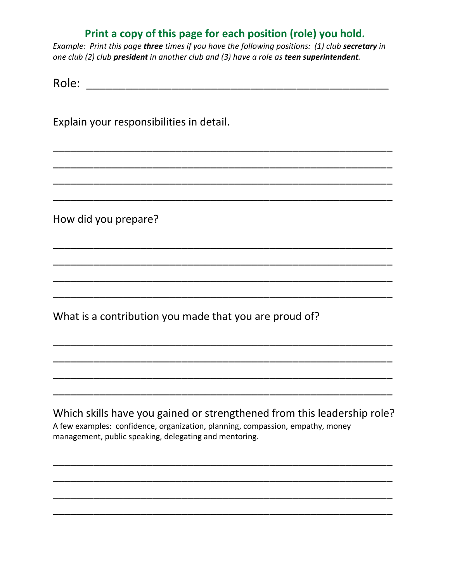### **Print a copy of this page for each position (role) you hold.**

*Example: Print this page three times if you have the following positions: (1) club secretary in one club (2) club president in another club and (3) have a role as teen superintendent.* 

\_\_\_\_\_\_\_\_\_\_\_\_\_\_\_\_\_\_\_\_\_\_\_\_\_\_\_\_\_\_\_\_\_\_\_\_\_\_\_\_\_\_\_\_\_\_\_\_\_\_\_\_\_\_\_\_\_\_

\_\_\_\_\_\_\_\_\_\_\_\_\_\_\_\_\_\_\_\_\_\_\_\_\_\_\_\_\_\_\_\_\_\_\_\_\_\_\_\_\_\_\_\_\_\_\_\_\_\_\_\_\_\_\_\_\_\_

\_\_\_\_\_\_\_\_\_\_\_\_\_\_\_\_\_\_\_\_\_\_\_\_\_\_\_\_\_\_\_\_\_\_\_\_\_\_\_\_\_\_\_\_\_\_\_\_\_\_\_\_\_\_\_\_\_\_

\_\_\_\_\_\_\_\_\_\_\_\_\_\_\_\_\_\_\_\_\_\_\_\_\_\_\_\_\_\_\_\_\_\_\_\_\_\_\_\_\_\_\_\_\_\_\_\_\_\_\_\_\_\_\_\_\_\_

\_\_\_\_\_\_\_\_\_\_\_\_\_\_\_\_\_\_\_\_\_\_\_\_\_\_\_\_\_\_\_\_\_\_\_\_\_\_\_\_\_\_\_\_\_\_\_\_\_\_\_\_\_\_\_\_\_\_

\_\_\_\_\_\_\_\_\_\_\_\_\_\_\_\_\_\_\_\_\_\_\_\_\_\_\_\_\_\_\_\_\_\_\_\_\_\_\_\_\_\_\_\_\_\_\_\_\_\_\_\_\_\_\_\_\_\_

\_\_\_\_\_\_\_\_\_\_\_\_\_\_\_\_\_\_\_\_\_\_\_\_\_\_\_\_\_\_\_\_\_\_\_\_\_\_\_\_\_\_\_\_\_\_\_\_\_\_\_\_\_\_\_\_\_\_

\_\_\_\_\_\_\_\_\_\_\_\_\_\_\_\_\_\_\_\_\_\_\_\_\_\_\_\_\_\_\_\_\_\_\_\_\_\_\_\_\_\_\_\_\_\_\_\_\_\_\_\_\_\_\_\_\_\_

\_\_\_\_\_\_\_\_\_\_\_\_\_\_\_\_\_\_\_\_\_\_\_\_\_\_\_\_\_\_\_\_\_\_\_\_\_\_\_\_\_\_\_\_\_\_\_\_\_\_\_\_\_\_\_\_\_\_

\_\_\_\_\_\_\_\_\_\_\_\_\_\_\_\_\_\_\_\_\_\_\_\_\_\_\_\_\_\_\_\_\_\_\_\_\_\_\_\_\_\_\_\_\_\_\_\_\_\_\_\_\_\_\_\_\_\_

\_\_\_\_\_\_\_\_\_\_\_\_\_\_\_\_\_\_\_\_\_\_\_\_\_\_\_\_\_\_\_\_\_\_\_\_\_\_\_\_\_\_\_\_\_\_\_\_\_\_\_\_\_\_\_\_\_\_

\_\_\_\_\_\_\_\_\_\_\_\_\_\_\_\_\_\_\_\_\_\_\_\_\_\_\_\_\_\_\_\_\_\_\_\_\_\_\_\_\_\_\_\_\_\_\_\_\_\_\_\_\_\_\_\_\_\_

Role: \_\_\_\_\_\_\_\_\_\_\_\_\_\_\_\_\_\_\_\_\_\_\_\_\_\_\_\_\_\_\_\_\_\_\_\_\_\_\_\_\_\_\_\_\_\_

Explain your responsibilities in detail.

How did you prepare?

What is a contribution you made that you are proud of?

Which skills have you gained or strengthened from this leadership role? A few examples: confidence, organization, planning, compassion, empathy, money management, public speaking, delegating and mentoring.

\_\_\_\_\_\_\_\_\_\_\_\_\_\_\_\_\_\_\_\_\_\_\_\_\_\_\_\_\_\_\_\_\_\_\_\_\_\_\_\_\_\_\_\_\_\_\_\_\_\_\_\_\_\_\_\_\_\_

\_\_\_\_\_\_\_\_\_\_\_\_\_\_\_\_\_\_\_\_\_\_\_\_\_\_\_\_\_\_\_\_\_\_\_\_\_\_\_\_\_\_\_\_\_\_\_\_\_\_\_\_\_\_\_\_\_\_

\_\_\_\_\_\_\_\_\_\_\_\_\_\_\_\_\_\_\_\_\_\_\_\_\_\_\_\_\_\_\_\_\_\_\_\_\_\_\_\_\_\_\_\_\_\_\_\_\_\_\_\_\_\_\_\_\_\_

\_\_\_\_\_\_\_\_\_\_\_\_\_\_\_\_\_\_\_\_\_\_\_\_\_\_\_\_\_\_\_\_\_\_\_\_\_\_\_\_\_\_\_\_\_\_\_\_\_\_\_\_\_\_\_\_\_\_